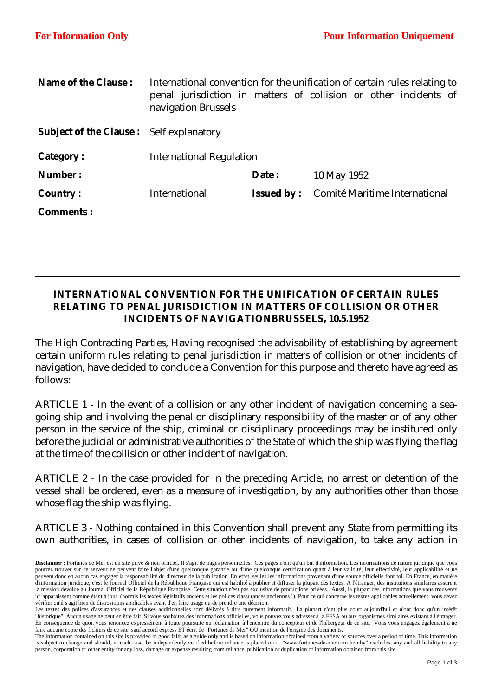| <b>Name of the Clause:</b>                     | navigation Brussels             |                   | International convention for the unification of certain rules relating to<br>penal jurisdiction in matters of collision or other incidents of |
|------------------------------------------------|---------------------------------|-------------------|-----------------------------------------------------------------------------------------------------------------------------------------------|
| <b>Subject of the Clause:</b> Self explanatory |                                 |                   |                                                                                                                                               |
| <b>Category:</b>                               | <b>International Regulation</b> |                   |                                                                                                                                               |
| Number:                                        |                                 | Date:             | 10 May 1952                                                                                                                                   |
| <b>Country:</b>                                | <b>International</b>            | <b>Issued by:</b> | Comité Maritime International                                                                                                                 |
| <b>Comments:</b>                               |                                 |                   |                                                                                                                                               |
|                                                |                                 |                   |                                                                                                                                               |

## **INTERNATIONAL CONVENTION FOR THE UNIFICATION OF CERTAIN RULES RELATING TO PENAL JURISDICTION IN MATTERS OF COLLISION OR OTHER INCIDENTS OF NAVIGATIONBRUSSELS, 10.5.1952**

The High Contracting Parties, Having recognised the advisability of establishing by agreement certain uniform rules relating to penal jurisdiction in matters of collision or other incidents of navigation, have decided to conclude a Convention for this purpose and thereto have agreed as follows:

ARTICLE 1 - In the event of a collision or any other incident of navigation concerning a seagoing ship and involving the penal or disciplinary responsibility of the master or of any other person in the service of the ship, criminal or disciplinary proceedings may be instituted only before the judicial or administrative authorities of the State of which the ship was flying the flag at the time of the collision or other incident of navigation.

ARTICLE 2 - In the case provided for in the preceding Article, no arrest or detention of the vessel shall be ordered, even as a measure of investigation, by any authorities other than those whose flag the ship was flying.

ARTICLE 3 - Nothing contained in this Convention shall prevent any State from permitting its own authorities, in cases of collision or other incidents of navigation, to take any action in

**Disclaimer :** Fortunes de Mer est un site privé & non officiel. Il s'agit de pages personnelles. Ces pages n'ont qu'un but d'information. Les informations de nature juridique que vous pourrez trouver sur ce serveur ne peuvent faire l'objet d'une quelconque garantie ou d'une quelconque certification quant à leur validité, leur effectivité, leur applicabilité et ne peuvent donc en aucun cas engager la responsabilité du directeur de la publication. En effet, seules les informations provenant d'une source officielle font foi. En France, en matière d'information juridique, c'est le Journal Officiel de la République Française qui est habilité à publier et diffuser la plupart des textes. A l'étranger, des institutions similaires assurent la mission dévolue au Journal Officiel de la République Française. Cette situation n'est pas exclusive de productions privées. Aussi, la plupart des informations que vous trouverez ici apparaissent comme étant à jour (hormis les textes législatifs anciens et les polices d'assurances anciennes !). Pour ce qui concerne les textes applicables actuellement, vous devez vérifier qu'il s'agit bien de dispositions applicables avant d'en faire usage ou de prendre une décision.

Les textes des polices d'assurances et des clauses additionnelles sont délivrés à titre purement informatif. La plupart n'ont plus court aujourd'hui et n'ont donc qu'un intérêt "historique". Aucun usage ne peut en être fait. Si vous souhaitez des informations officielles, vous pouvez vous adresser à la FFSA ou aux organismes similaires existant à l'étranger. En conséquence de quoi, vous renoncez expressément à toute poursuite ou réclamation à l'encontre du concepteur et de l'hébergeur de ce site. Vous vous engagez également à ne faire aucune copie des fichiers de ce site, sauf accord express ET écrit de "Fortunes de Mer" OU mention de l'origine des documents.

The information contained on this site is provided in good faith as a guide only and is based on information obtained from a variety of sources over a period of time. This information is subject to change and should, in each case, be independently verified before reliance is placed on it. "www.fortunes-de-mer.com hereby" excludes, any and all liability to any person, corporation or other entity for any loss, damage or expense resulting from reliance, publication or duplication of information obtained from this site.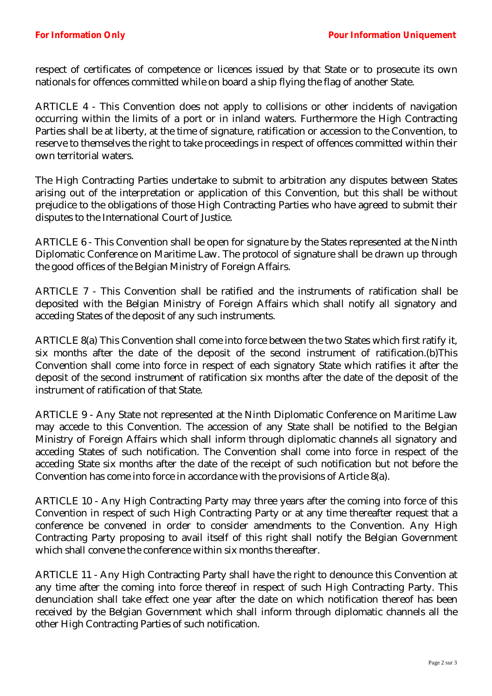respect of certificates of competence or licences issued by that State or to prosecute its own nationals for offences committed while on board a ship flying the flag of another State.

ARTICLE 4 - This Convention does not apply to collisions or other incidents of navigation occurring within the limits of a port or in inland waters. Furthermore the High Contracting Parties shall be at liberty, at the time of signature, ratification or accession to the Convention, to reserve to themselves the right to take proceedings in respect of offences committed within their own territorial waters.

The High Contracting Parties undertake to submit to arbitration any disputes between States arising out of the interpretation or application of this Convention, but this shall be without prejudice to the obligations of those High Contracting Parties who have agreed to submit their disputes to the International Court of Justice.

ARTICLE 6 - This Convention shall be open for signature by the States represented at the Ninth Diplomatic Conference on Maritime Law. The protocol of signature shall be drawn up through the good offices of the Belgian Ministry of Foreign Affairs.

ARTICLE 7 - This Convention shall be ratified and the instruments of ratification shall be deposited with the Belgian Ministry of Foreign Affairs which shall notify all signatory and acceding States of the deposit of any such instruments.

ARTICLE 8(a) This Convention shall come into force between the two States which first ratify it, six months after the date of the deposit of the second instrument of ratification.(b)This Convention shall come into force in respect of each signatory State which ratifies it after the deposit of the second instrument of ratification six months after the date of the deposit of the instrument of ratification of that State.

ARTICLE 9 - Any State not represented at the Ninth Diplomatic Conference on Maritime Law may accede to this Convention. The accession of any State shall be notified to the Belgian Ministry of Foreign Affairs which shall inform through diplomatic channels all signatory and acceding States of such notification. The Convention shall come into force in respect of the acceding State six months after the date of the receipt of such notification but not before the Convention has come into force in accordance with the provisions of Article 8(a).

ARTICLE 10 - Any High Contracting Party may three years after the coming into force of this Convention in respect of such High Contracting Party or at any time thereafter request that a conference be convened in order to consider amendments to the Convention. Any High Contracting Party proposing to avail itself of this right shall notify the Belgian Government which shall convene the conference within six months thereafter.

ARTICLE 11 - Any High Contracting Party shall have the right to denounce this Convention at any time after the coming into force thereof in respect of such High Contracting Party. This denunciation shall take effect one year after the date on which notification thereof has been received by the Belgian Government which shall inform through diplomatic channels all the other High Contracting Parties of such notification.